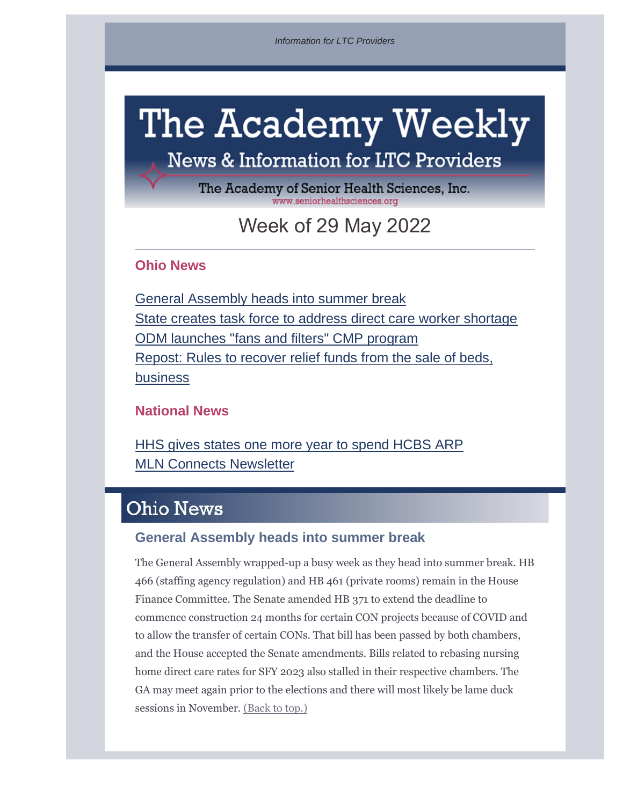*Information for LTC Providers* 

# The Academy Weekly

**News & Information for LTC Providers** 

The Academy of Senior Health Sciences, Inc. www.seniorhealthsciences.org

# Week of 29 May 2022

## <span id="page-0-1"></span>**Ohio News**

[General Assembly heads into summer break](#page-0-0) [State creates task force to address direct care worker shortage](#page-1-0) [ODM launches "fans and filters" CMP program](#page-1-1) Repost: Rules [to recover relief funds from the sale of beds,](#page-1-2)  [business](#page-1-2)

## **National News**

[HHS gives states one more year to spend HCBS ARP](#page-2-0) [MLN Connects Newsletter](#page-2-0)

# **Ohio News**

## <span id="page-0-0"></span>**General Assembly heads into summer break**

The General Assembly wrapped-up a busy week as they head into summer break. HB 466 (staffing agency regulation) and HB 461 (private rooms) remain in the House Finance Committee. The Senate amended HB 371 to extend the deadline to commence construction 24 months for certain CON projects because of COVID and to allow the transfer of certain CONs. That bill has been passed by both chambers, and the House accepted the Senate amendments. Bills related to rebasing nursing home direct care rates for SFY 2023 also stalled in their respective chambers. The GA may meet again prior to the elections and there will most likely be lame duck sessions in November. [\(Back to top.\)](#page-0-1)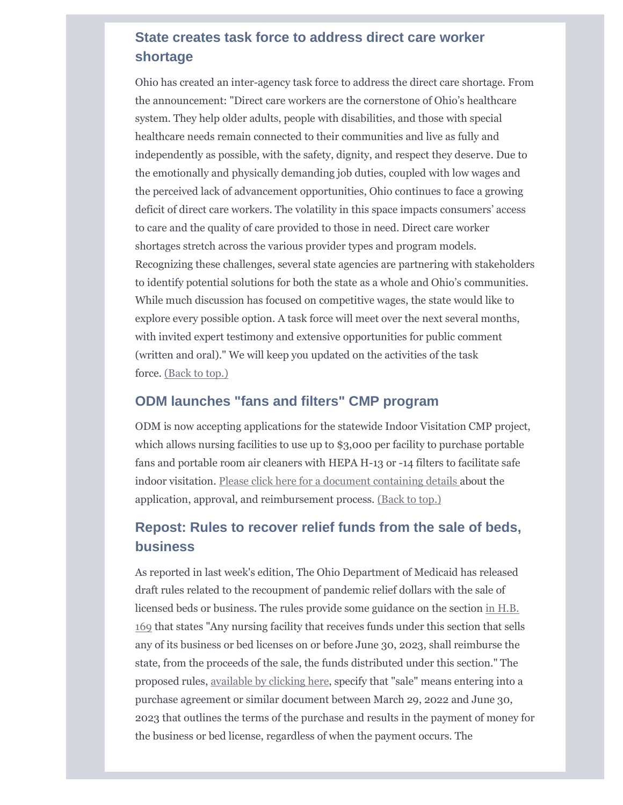## <span id="page-1-0"></span>**State creates task force to address direct care worker shortage**

Ohio has created an inter-agency task force to address the direct care shortage. From the announcement: "Direct care workers are the cornerstone of Ohio's healthcare system. They help older adults, people with disabilities, and those with special healthcare needs remain connected to their communities and live as fully and independently as possible, with the safety, dignity, and respect they deserve. Due to the emotionally and physically demanding job duties, coupled with low wages and the perceived lack of advancement opportunities, Ohio continues to face a growing deficit of direct care workers. The volatility in this space impacts consumers' access to care and the quality of care provided to those in need. Direct care worker shortages stretch across the various provider types and program models. Recognizing these challenges, several state agencies are partnering with stakeholders to identify potential solutions for both the state as a whole and Ohio's communities. While much discussion has focused on competitive wages, the state would like to explore every possible option. A task force will meet over the next several months, with invited expert testimony and extensive opportunities for public comment (written and oral)." We will keep you updated on the activities of the task force. [\(Back to top.\)](#page-0-1)

### <span id="page-1-1"></span>**ODM launches "fans and filters" CMP program**

ODM is now accepting applications for the statewide Indoor Visitation CMP project, which allows nursing facilities to use up to \$3,000 per facility to purchase portable fans and portable room air cleaners with HEPA H-13 or -14 filters to facilitate safe indoor visitation. [Please click here for a document containing details a](https://seniorhealthsciences.us6.list-manage.com/track/click?u=b2027865586545e1002a2eeae&id=11fcf31402&e=25d606427d)bout the application, approval, and reimbursement process. [\(Back to top.\)](#page-0-1)

# <span id="page-1-2"></span>**Repost: Rules to recover relief funds from the sale of beds, business**

As reported in last week's edition, The Ohio Department of Medicaid has released draft rules related to the recoupment of pandemic relief dollars with the sale of licensed beds or business. The rules provide some guidance on the section [in H.B.](https://seniorhealthsciences.us6.list-manage.com/track/click?u=b2027865586545e1002a2eeae&id=eff84d9e00&e=25d606427d)  [169](https://seniorhealthsciences.us6.list-manage.com/track/click?u=b2027865586545e1002a2eeae&id=eff84d9e00&e=25d606427d) that states "Any nursing facility that receives funds under this section that sells any of its business or bed licenses on or before June 30, 2023, shall reimburse the state, from the proceeds of the sale, the funds distributed under this section." The proposed rules, [available by clicking here,](https://seniorhealthsciences.us6.list-manage.com/track/click?u=b2027865586545e1002a2eeae&id=437feb54fc&e=25d606427d) specify that "sale" means entering into a purchase agreement or similar document between March 29, 2022 and June 30, 2023 that outlines the terms of the purchase and results in the payment of money for the business or bed license, regardless of when the payment occurs. The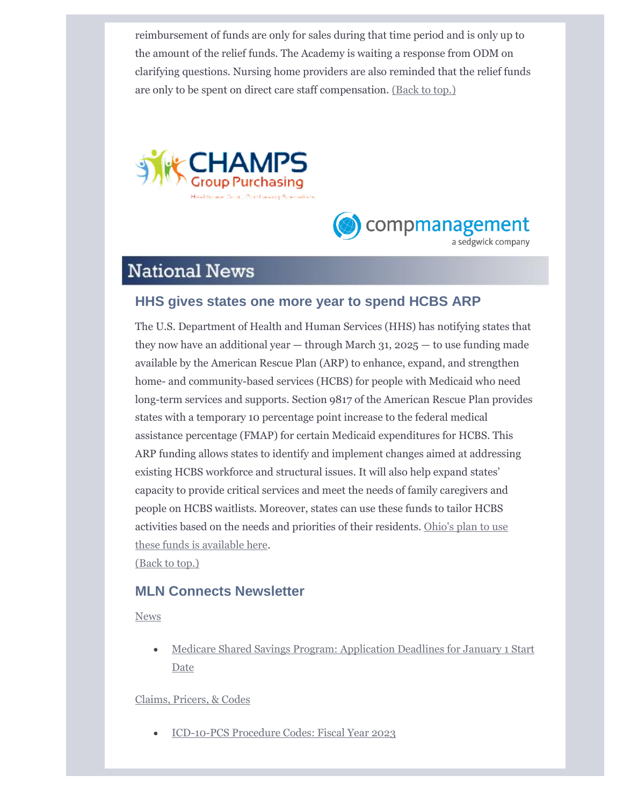reimbursement of funds are only for sales during that time period and is only up to the amount of the relief funds. The Academy is waiting a response from ODM on clarifying questions. Nursing home providers are also reminded that the relief funds are only to be spent on direct care staff compensation. [\(Back to top.\)](#page-0-1)





# **National News**

#### <span id="page-2-0"></span>**HHS gives states one more year to spend HCBS ARP**

The U.S. Department of Health and Human Services (HHS) has notifying states that they now have an additional year — through March 31, 2025 — to use funding made available by the American Rescue Plan (ARP) to enhance, expand, and strengthen home- and community-based services (HCBS) for people with Medicaid who need long-term services and supports. Section 9817 of the American Rescue Plan provides states with a temporary 10 percentage point increase to the federal medical assistance percentage (FMAP) for certain Medicaid expenditures for HCBS. This ARP funding allows states to identify and implement changes aimed at addressing existing HCBS workforce and structural issues. It will also help expand states' capacity to provide critical services and meet the needs of family caregivers and people on HCBS waitlists. Moreover, states can use these funds to tailor HCBS activities based on the needs and priorities of their residents. [Ohio's plan to use](https://seniorhealthsciences.us6.list-manage.com/track/click?u=b2027865586545e1002a2eeae&id=b64e677656&e=25d606427d)  [these funds is available here.](https://seniorhealthsciences.us6.list-manage.com/track/click?u=b2027865586545e1002a2eeae&id=b64e677656&e=25d606427d)

[\(Back to top.\)](https://seniorhealthsciences.us6.list-manage.com/track/click?u=b2027865586545e1002a2eeae&id=dd9c9284d5&e=25d606427d)

#### **MLN Connects Newsletter**

[News](https://seniorhealthsciences.us6.list-manage.com/track/click?u=b2027865586545e1002a2eeae&id=b24de4c9d1&e=25d606427d)

• [Medicare Shared Savings Program: Application Deadlines for January 1 Start](https://seniorhealthsciences.us6.list-manage.com/track/click?u=b2027865586545e1002a2eeae&id=c2973431cd&e=25d606427d)  [Date](https://seniorhealthsciences.us6.list-manage.com/track/click?u=b2027865586545e1002a2eeae&id=c2973431cd&e=25d606427d)

[Claims, Pricers, & Codes](https://seniorhealthsciences.us6.list-manage.com/track/click?u=b2027865586545e1002a2eeae&id=ca736f50ea&e=25d606427d)

• [ICD-10-PCS Procedure Codes: Fiscal Year 2023](https://seniorhealthsciences.us6.list-manage.com/track/click?u=b2027865586545e1002a2eeae&id=8150627cf3&e=25d606427d)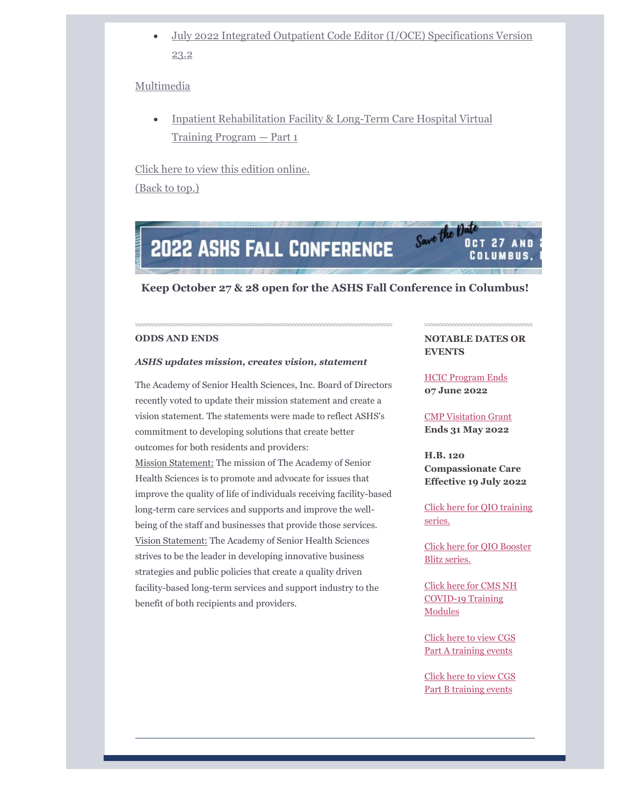• [July 2022 Integrated Outpatient Code Editor \(I/OCE\) Specifications Version](https://seniorhealthsciences.us6.list-manage.com/track/click?u=b2027865586545e1002a2eeae&id=e30ab85c36&e=25d606427d)  [23.2](https://seniorhealthsciences.us6.list-manage.com/track/click?u=b2027865586545e1002a2eeae&id=e30ab85c36&e=25d606427d)

#### [Multimedia](https://seniorhealthsciences.us6.list-manage.com/track/click?u=b2027865586545e1002a2eeae&id=2f443ef7f2&e=25d606427d)

• [Inpatient Rehabilitation Facility & Long-Term Care Hospital Virtual](https://seniorhealthsciences.us6.list-manage.com/track/click?u=b2027865586545e1002a2eeae&id=568ec2d8d0&e=25d606427d)  [Training Program](https://seniorhealthsciences.us6.list-manage.com/track/click?u=b2027865586545e1002a2eeae&id=568ec2d8d0&e=25d606427d) — Part 1

#### [Click here to view this edition online.](https://seniorhealthsciences.us6.list-manage.com/track/click?u=b2027865586545e1002a2eeae&id=ad752eaa7f&e=25d606427d)

[\(Back to top.\)](https://seniorhealthsciences.us6.list-manage.com/track/click?u=b2027865586545e1002a2eeae&id=4b9c6bac7a&e=25d606427d)

# 2022 ASHS FALL CONFERENCE

**Keep October 27 & 28 open for the ASHS Fall Conference in Columbus!**

#### **ODDS AND ENDS**

#### *ASHS updates mission, creates vision, statement*

The Academy of Senior Health Sciences, Inc. Board of Directors recently voted to update their mission statement and create a vision statement. The statements were made to reflect ASHS's commitment to developing solutions that create better outcomes for both residents and providers:

Mission Statement: The mission of The Academy of Senior Health Sciences is to promote and advocate for issues that improve the quality of life of individuals receiving facility-based long-term care services and supports and improve the wellbeing of the staff and businesses that provide those services. Vision Statement: The Academy of Senior Health Sciences strives to be the leader in developing innovative business strategies and public policies that create a quality driven facility-based long-term services and support industry to the benefit of both recipients and providers.

#### **NOTABLE DATES OR EVENTS**

,,,,,,,,,,,,,,,,,,,,,,,,,,,,,,,

[HCIC Program Ends](https://seniorhealthsciences.us6.list-manage.com/track/click?u=b2027865586545e1002a2eeae&id=00b9e52a84&e=25d606427d) **07 June 2022**

Save the

[CMP Visitation Grant](https://seniorhealthsciences.us6.list-manage.com/track/click?u=b2027865586545e1002a2eeae&id=37301cf827&e=25d606427d) **Ends 31 May 2022**

**H.B. 120 Compassionate Care Effective 19 July 2022**

[Click here for QIO training](https://seniorhealthsciences.us6.list-manage.com/track/click?u=b2027865586545e1002a2eeae&id=e1d1a1a2ae&e=25d606427d)  [series.](https://seniorhealthsciences.us6.list-manage.com/track/click?u=b2027865586545e1002a2eeae&id=e1d1a1a2ae&e=25d606427d)

[Click here for QIO Booster](https://seniorhealthsciences.us6.list-manage.com/track/click?u=b2027865586545e1002a2eeae&id=f707898c35&e=25d606427d)  [Blitz series.](https://seniorhealthsciences.us6.list-manage.com/track/click?u=b2027865586545e1002a2eeae&id=f707898c35&e=25d606427d)

[Click here for CMS NH](https://seniorhealthsciences.us6.list-manage.com/track/click?u=b2027865586545e1002a2eeae&id=329ffdfbdc&e=25d606427d)  [COVID-19 Training](https://seniorhealthsciences.us6.list-manage.com/track/click?u=b2027865586545e1002a2eeae&id=329ffdfbdc&e=25d606427d)  [Modules](https://seniorhealthsciences.us6.list-manage.com/track/click?u=b2027865586545e1002a2eeae&id=329ffdfbdc&e=25d606427d)

[Click here to view CGS](https://seniorhealthsciences.us6.list-manage.com/track/click?u=b2027865586545e1002a2eeae&id=5f5abd802b&e=25d606427d)  [Part A training events](https://seniorhealthsciences.us6.list-manage.com/track/click?u=b2027865586545e1002a2eeae&id=5f5abd802b&e=25d606427d)

[Click here to view CGS](https://seniorhealthsciences.us6.list-manage.com/track/click?u=b2027865586545e1002a2eeae&id=2949bd567e&e=25d606427d)  [Part B training events](https://seniorhealthsciences.us6.list-manage.com/track/click?u=b2027865586545e1002a2eeae&id=2949bd567e&e=25d606427d)